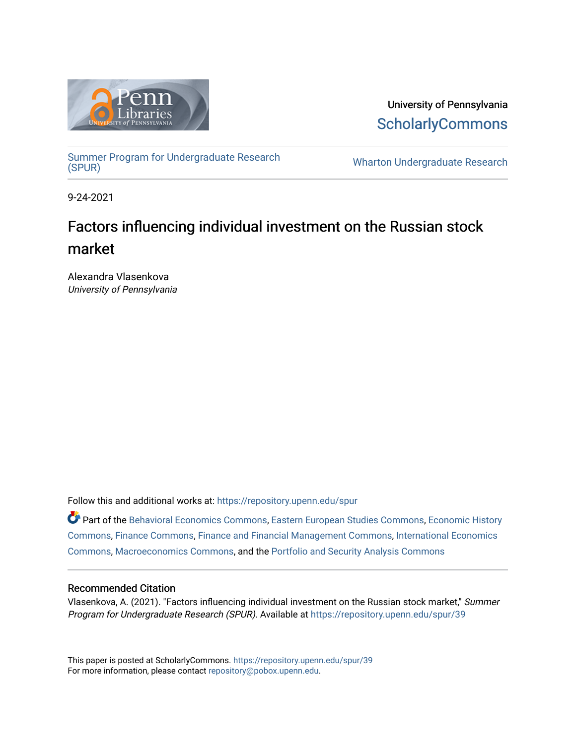

University of Pennsylvania **ScholarlyCommons** 

Summer Program for Undergraduate Research<br>(SPUR)

**Wharton Undergraduate Research** 

9-24-2021

## Factors influencing individual investment on the Russian stock market

Alexandra Vlasenkova University of Pennsylvania

Follow this and additional works at: [https://repository.upenn.edu/spur](https://repository.upenn.edu/spur?utm_source=repository.upenn.edu%2Fspur%2F39&utm_medium=PDF&utm_campaign=PDFCoverPages)

Part of the [Behavioral Economics Commons](http://network.bepress.com/hgg/discipline/341?utm_source=repository.upenn.edu%2Fspur%2F39&utm_medium=PDF&utm_campaign=PDFCoverPages), [Eastern European Studies Commons,](http://network.bepress.com/hgg/discipline/362?utm_source=repository.upenn.edu%2Fspur%2F39&utm_medium=PDF&utm_campaign=PDFCoverPages) [Economic History](http://network.bepress.com/hgg/discipline/343?utm_source=repository.upenn.edu%2Fspur%2F39&utm_medium=PDF&utm_campaign=PDFCoverPages)  [Commons](http://network.bepress.com/hgg/discipline/343?utm_source=repository.upenn.edu%2Fspur%2F39&utm_medium=PDF&utm_campaign=PDFCoverPages), [Finance Commons](http://network.bepress.com/hgg/discipline/345?utm_source=repository.upenn.edu%2Fspur%2F39&utm_medium=PDF&utm_campaign=PDFCoverPages), [Finance and Financial Management Commons,](http://network.bepress.com/hgg/discipline/631?utm_source=repository.upenn.edu%2Fspur%2F39&utm_medium=PDF&utm_campaign=PDFCoverPages) [International Economics](http://network.bepress.com/hgg/discipline/348?utm_source=repository.upenn.edu%2Fspur%2F39&utm_medium=PDF&utm_campaign=PDFCoverPages) [Commons](http://network.bepress.com/hgg/discipline/348?utm_source=repository.upenn.edu%2Fspur%2F39&utm_medium=PDF&utm_campaign=PDFCoverPages), [Macroeconomics Commons,](http://network.bepress.com/hgg/discipline/350?utm_source=repository.upenn.edu%2Fspur%2F39&utm_medium=PDF&utm_campaign=PDFCoverPages) and the [Portfolio and Security Analysis Commons](http://network.bepress.com/hgg/discipline/640?utm_source=repository.upenn.edu%2Fspur%2F39&utm_medium=PDF&utm_campaign=PDFCoverPages) 

#### Recommended Citation

Vlasenkova, A. (2021). "Factors influencing individual investment on the Russian stock market," Summer Program for Undergraduate Research (SPUR). Available at [https://repository.upenn.edu/spur/39](https://repository.upenn.edu/spur/39?utm_source=repository.upenn.edu%2Fspur%2F39&utm_medium=PDF&utm_campaign=PDFCoverPages)

This paper is posted at ScholarlyCommons.<https://repository.upenn.edu/spur/39> For more information, please contact [repository@pobox.upenn.edu.](mailto:repository@pobox.upenn.edu)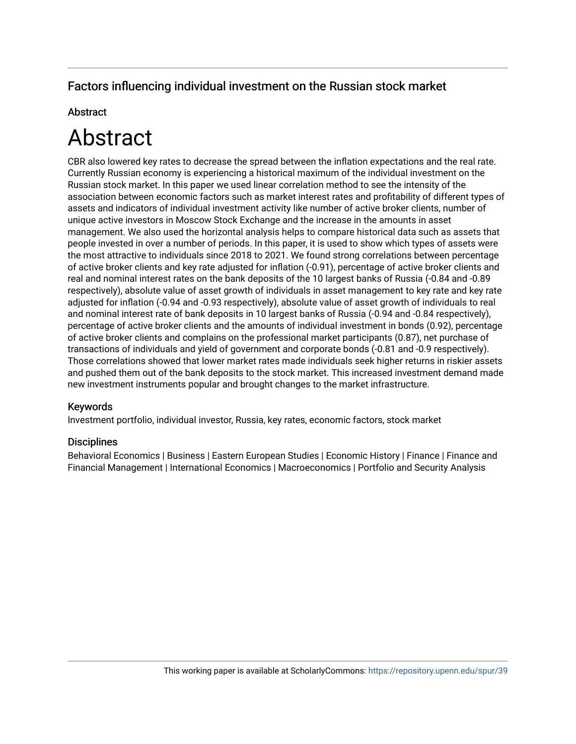#### Factors influencing individual investment on the Russian stock market

#### **Abstract**

# Abstract

CBR also lowered key rates to decrease the spread between the inflation expectations and the real rate. Currently Russian economy is experiencing a historical maximum of the individual investment on the Russian stock market. In this paper we used linear correlation method to see the intensity of the association between economic factors such as market interest rates and profitability of different types of assets and indicators of individual investment activity like number of active broker clients, number of unique active investors in Moscow Stock Exchange and the increase in the amounts in asset management. We also used the horizontal analysis helps to compare historical data such as assets that people invested in over a number of periods. In this paper, it is used to show which types of assets were the most attractive to individuals since 2018 to 2021. We found strong correlations between percentage of active broker clients and key rate adjusted for inflation (-0.91), percentage of active broker clients and real and nominal interest rates on the bank deposits of the 10 largest banks of Russia (-0.84 and -0.89 respectively), absolute value of asset growth of individuals in asset management to key rate and key rate adjusted for inflation (-0.94 and -0.93 respectively), absolute value of asset growth of individuals to real and nominal interest rate of bank deposits in 10 largest banks of Russia (-0.94 and -0.84 respectively), percentage of active broker clients and the amounts of individual investment in bonds (0.92), percentage of active broker clients and complains on the professional market participants (0.87), net purchase of transactions of individuals and yield of government and corporate bonds (-0.81 and -0.9 respectively). Those correlations showed that lower market rates made individuals seek higher returns in riskier assets and pushed them out of the bank deposits to the stock market. This increased investment demand made new investment instruments popular and brought changes to the market infrastructure.

#### Keywords

Investment portfolio, individual investor, Russia, key rates, economic factors, stock market

#### **Disciplines**

Behavioral Economics | Business | Eastern European Studies | Economic History | Finance | Finance and Financial Management | International Economics | Macroeconomics | Portfolio and Security Analysis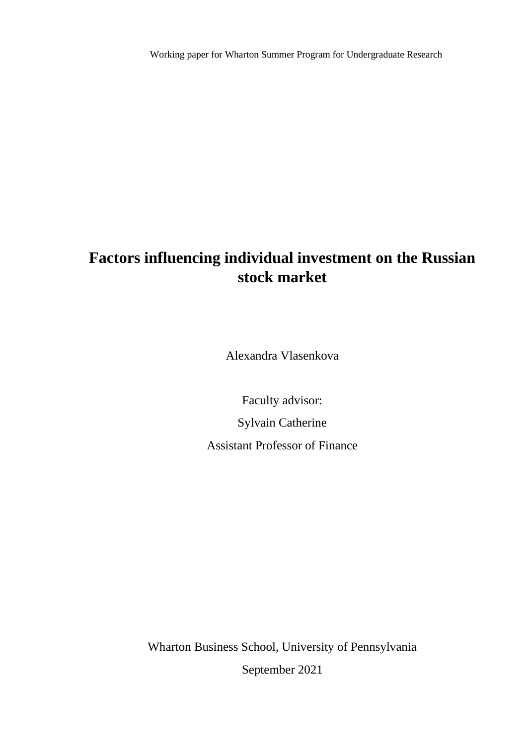Working paper for Wharton Summer Program for Undergraduate Research

# **Factors influencing individual investment on the Russian stock market**

Alexandra Vlasenkova

Faculty advisor: Sylvain Catherine Assistant Professor of Finance

Wharton Business School, University of Pennsylvania September 2021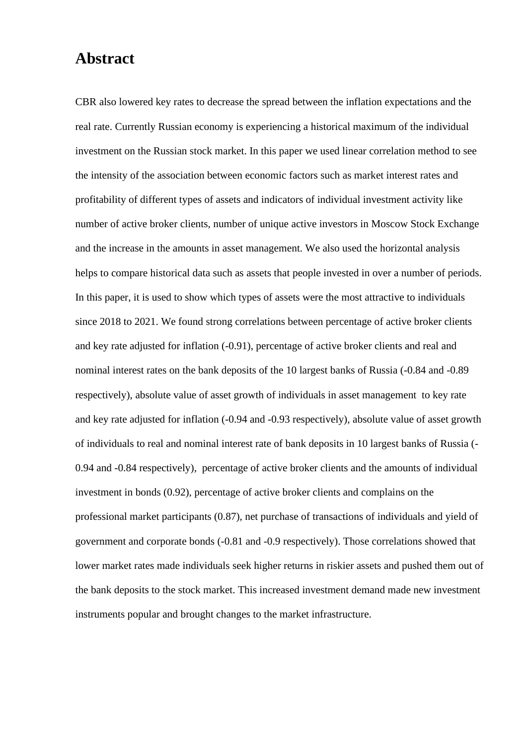## **Abstract**

CBR also lowered key rates to decrease the spread between the inflation expectations and the real rate. Currently Russian economy is experiencing a historical maximum of the individual investment on the Russian stock market. In this paper we used linear correlation method to see the intensity of the association between economic factors such as market interest rates and profitability of different types of assets and indicators of individual investment activity like number of active broker clients, number of unique active investors in Moscow Stock Exchange and the increase in the amounts in asset management. We also used the horizontal analysis helps to compare historical data such as assets that people invested in over a number of periods. In this paper, it is used to show which types of assets were the most attractive to individuals since 2018 to 2021. We found strong correlations between percentage of active broker clients and key rate adjusted for inflation (-0.91), percentage of active broker clients and real and nominal interest rates on the bank deposits of the 10 largest banks of Russia (-0.84 and -0.89 respectively), absolute value of asset growth of individuals in asset management to key rate and key rate adjusted for inflation (-0.94 and -0.93 respectively), absolute value of asset growth of individuals to real and nominal interest rate of bank deposits in 10 largest banks of Russia (- 0.94 and -0.84 respectively), percentage of active broker clients and the amounts of individual investment in bonds (0.92), percentage of active broker clients and complains on the professional market participants (0.87), net purchase of transactions of individuals and yield of government and corporate bonds (-0.81 and -0.9 respectively). Those correlations showed that lower market rates made individuals seek higher returns in riskier assets and pushed them out of the bank deposits to the stock market. This increased investment demand made new investment instruments popular and brought changes to the market infrastructure.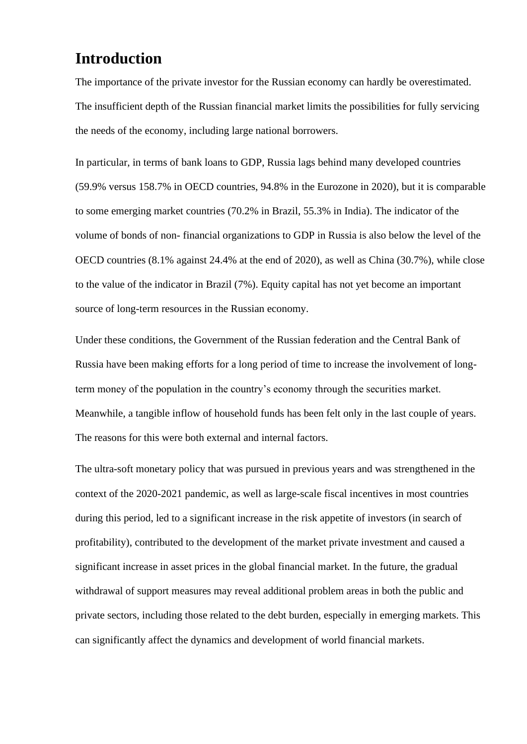## **Introduction**

The importance of the private investor for the Russian economy can hardly be overestimated. The insufficient depth of the Russian financial market limits the possibilities for fully servicing the needs of the economy, including large national borrowers.

In particular, in terms of bank loans to GDP, Russia lags behind many developed countries (59.9% versus 158.7% in OECD countries, 94.8% in the Eurozone in 2020), but it is comparable to some emerging market countries (70.2% in Brazil, 55.3% in India). The indicator of the volume of bonds of non- financial organizations to GDP in Russia is also below the level of the OECD countries (8.1% against 24.4% at the end of 2020), as well as China (30.7%), while close to the value of the indicator in Brazil (7%). Equity capital has not yet become an important source of long-term resources in the Russian economy.

Under these conditions, the Government of the Russian federation and the Central Bank of Russia have been making efforts for a long period of time to increase the involvement of longterm money of the population in the country's economy through the securities market. Meanwhile, a tangible inflow of household funds has been felt only in the last couple of years. The reasons for this were both external and internal factors.

The ultra-soft monetary policy that was pursued in previous years and was strengthened in the context of the 2020-2021 pandemic, as well as large-scale fiscal incentives in most countries during this period, led to a significant increase in the risk appetite of investors (in search of profitability), contributed to the development of the market private investment and caused a significant increase in asset prices in the global financial market. In the future, the gradual withdrawal of support measures may reveal additional problem areas in both the public and private sectors, including those related to the debt burden, especially in emerging markets. This can significantly affect the dynamics and development of world financial markets.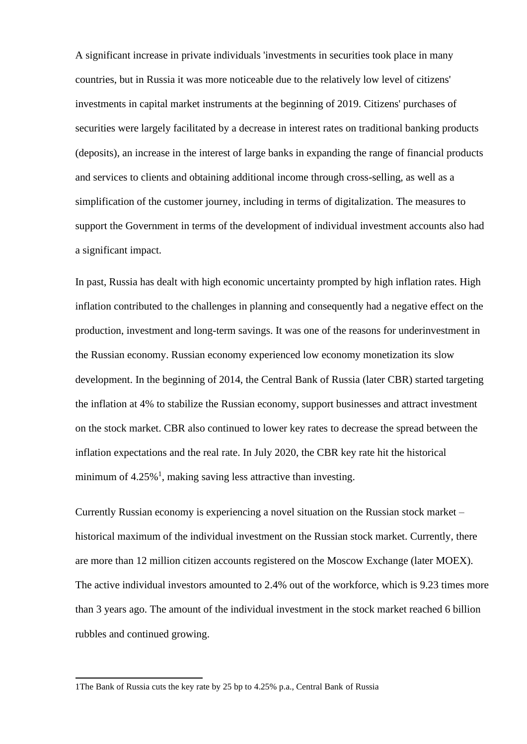A significant increase in private individuals 'investments in securities took place in many countries, but in Russia it was more noticeable due to the relatively low level of citizens' investments in capital market instruments at the beginning of 2019. Citizens' purchases of securities were largely facilitated by a decrease in interest rates on traditional banking products (deposits), an increase in the interest of large banks in expanding the range of financial products and services to clients and obtaining additional income through cross-selling, as well as a simplification of the customer journey, including in terms of digitalization. The measures to support the Government in terms of the development of individual investment accounts also had a significant impact.

In past, Russia has dealt with high economic uncertainty prompted by high inflation rates. High inflation contributed to the challenges in planning and consequently had a negative effect on the production, investment and long-term savings. It was one of the reasons for underinvestment in the Russian economy. Russian economy experienced low economy monetization its slow development. In the beginning of 2014, the Central Bank of Russia (later CBR) started targeting the inflation at 4% to stabilize the Russian economy, support businesses and attract investment on the stock market. CBR also continued to lower key rates to decrease the spread between the inflation expectations and the real rate. In July 2020, the CBR key rate hit the historical minimum of  $4.25\%$ <sup>1</sup>, making saving less attractive than investing.

Currently Russian economy is experiencing a novel situation on the Russian stock market – historical maximum of the individual investment on the Russian stock market. Currently, there are more than 12 million citizen accounts registered on the Moscow Exchange (later MOEX). The active individual investors amounted to 2.4% out of the workforce, which is 9.23 times more than 3 years ago. The amount of the individual investment in the stock market reached 6 billion rubbles and continued growing.

<sup>1</sup>The Bank of Russia cuts the key rate by 25 bp to 4.25% p.a., Central Bank of Russia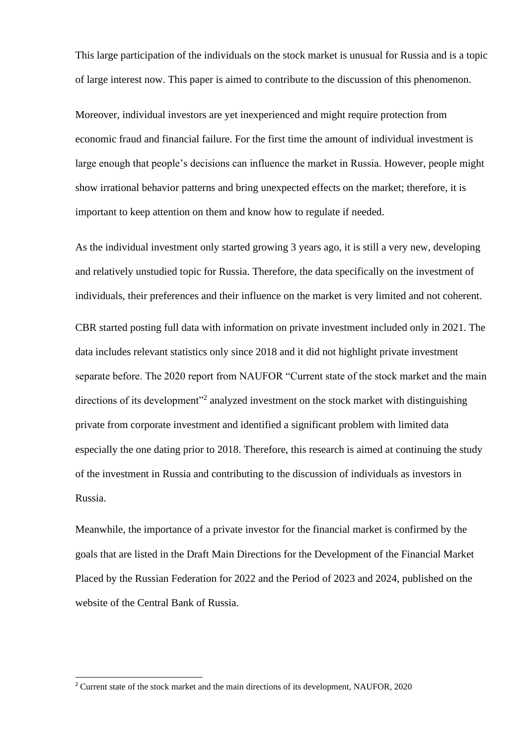This large participation of the individuals on the stock market is unusual for Russia and is a topic of large interest now. This paper is aimed to contribute to the discussion of this phenomenon.

Moreover, individual investors are yet inexperienced and might require protection from economic fraud and financial failure. For the first time the amount of individual investment is large enough that people's decisions can influence the market in Russia. However, people might show irrational behavior patterns and bring unexpected effects on the market; therefore, it is important to keep attention on them and know how to regulate if needed.

As the individual investment only started growing 3 years ago, it is still a very new, developing and relatively unstudied topic for Russia. Therefore, the data specifically on the investment of individuals, their preferences and their influence on the market is very limited and not coherent.

CBR started posting full data with information on private investment included only in 2021. The data includes relevant statistics only since 2018 and it did not highlight private investment separate before. The 2020 report from NAUFOR "Current state of the stock market and the main directions of its development"<sup>2</sup> analyzed investment on the stock market with distinguishing private from corporate investment and identified a significant problem with limited data especially the one dating prior to 2018. Therefore, this research is aimed at continuing the study of the investment in Russia and contributing to the discussion of individuals as investors in Russia.

Meanwhile, the importance of a private investor for the financial market is confirmed by the goals that are listed in the Draft Main Directions for the Development of the Financial Market Placed by the Russian Federation for 2022 and the Period of 2023 and 2024, published on the website of the Central Bank of Russia.

<sup>2</sup> Current state of the stock market and the main directions of its development, NAUFOR, 2020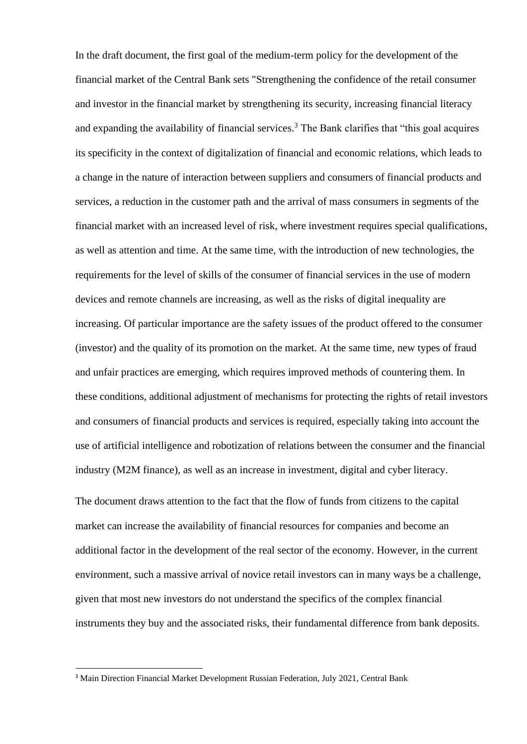In the draft document, the first goal of the medium-term policy for the development of the financial market of the Central Bank sets "Strengthening the confidence of the retail consumer and investor in the financial market by strengthening its security, increasing financial literacy and expanding the availability of financial services.<sup>3</sup> The Bank clarifies that "this goal acquires" its specificity in the context of digitalization of financial and economic relations, which leads to a change in the nature of interaction between suppliers and consumers of financial products and services, a reduction in the customer path and the arrival of mass consumers in segments of the financial market with an increased level of risk, where investment requires special qualifications, as well as attention and time. At the same time, with the introduction of new technologies, the requirements for the level of skills of the consumer of financial services in the use of modern devices and remote channels are increasing, as well as the risks of digital inequality are increasing. Of particular importance are the safety issues of the product offered to the consumer (investor) and the quality of its promotion on the market. At the same time, new types of fraud and unfair practices are emerging, which requires improved methods of countering them. In these conditions, additional adjustment of mechanisms for protecting the rights of retail investors and consumers of financial products and services is required, especially taking into account the use of artificial intelligence and robotization of relations between the consumer and the financial industry (M2M finance), as well as an increase in investment, digital and cyber literacy.

The document draws attention to the fact that the flow of funds from citizens to the capital market can increase the availability of financial resources for companies and become an additional factor in the development of the real sector of the economy. However, in the current environment, such a massive arrival of novice retail investors can in many ways be a challenge, given that most new investors do not understand the specifics of the complex financial instruments they buy and the associated risks, their fundamental difference from bank deposits.

<sup>&</sup>lt;sup>3</sup> Main Direction Financial Market Development Russian Federation, July 2021, Central Bank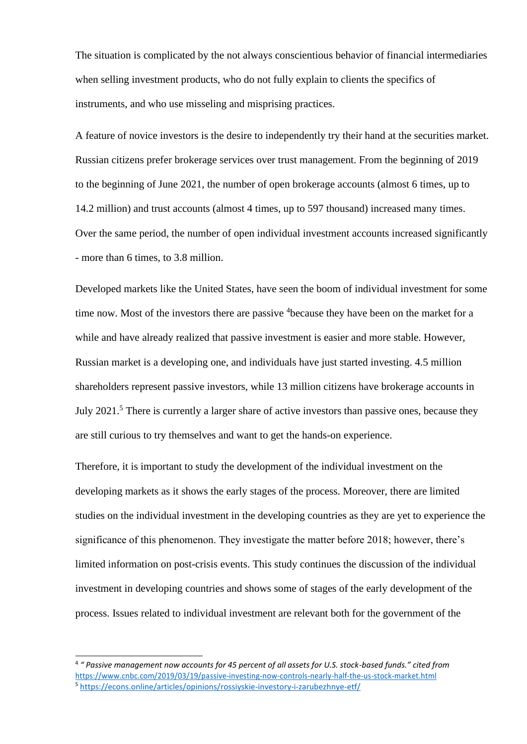The situation is complicated by the not always conscientious behavior of financial intermediaries when selling investment products, who do not fully explain to clients the specifics of instruments, and who use misseling and misprising practices.

A feature of novice investors is the desire to independently try their hand at the securities market. Russian citizens prefer brokerage services over trust management. From the beginning of 2019 to the beginning of June 2021, the number of open brokerage accounts (almost 6 times, up to 14.2 million) and trust accounts (almost 4 times, up to 597 thousand) increased many times. Over the same period, the number of open individual investment accounts increased significantly - more than 6 times, to 3.8 million.

Developed markets like the United States, have seen the boom of individual investment for some time now. Most of the investors there are passive <sup>4</sup>because they have been on the market for a while and have already realized that passive investment is easier and more stable. However, Russian market is a developing one, and individuals have just started investing. 4.5 million shareholders represent passive investors, while 13 million citizens have brokerage accounts in July 2021.<sup>5</sup> There is currently a larger share of active investors than passive ones, because they are still curious to try themselves and want to get the hands-on experience.

Therefore, it is important to study the development of the individual investment on the developing markets as it shows the early stages of the process. Moreover, there are limited studies on the individual investment in the developing countries as they are yet to experience the significance of this phenomenon. They investigate the matter before 2018; however, there's limited information on post-crisis events. This study continues the discussion of the individual investment in developing countries and shows some of stages of the early development of the process. Issues related to individual investment are relevant both for the government of the

<sup>4</sup> *" Passive management now accounts for 45 percent of all assets for U.S. stock-based funds." cited from*  <https://www.cnbc.com/2019/03/19/passive-investing-now-controls-nearly-half-the-us-stock-market.html> <sup>5</sup> <https://econs.online/articles/opinions/rossiyskie-investory-i-zarubezhnye-etf/>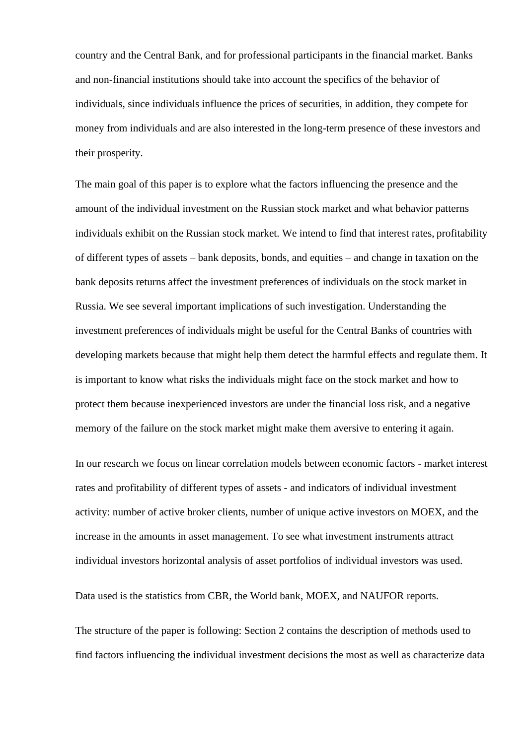country and the Central Bank, and for professional participants in the financial market. Banks and non-financial institutions should take into account the specifics of the behavior of individuals, since individuals influence the prices of securities, in addition, they compete for money from individuals and are also interested in the long-term presence of these investors and their prosperity.

The main goal of this paper is to explore what the factors influencing the presence and the amount of the individual investment on the Russian stock market and what behavior patterns individuals exhibit on the Russian stock market. We intend to find that interest rates, profitability of different types of assets – bank deposits, bonds, and equities – and change in taxation on the bank deposits returns affect the investment preferences of individuals on the stock market in Russia. We see several important implications of such investigation. Understanding the investment preferences of individuals might be useful for the Central Banks of countries with developing markets because that might help them detect the harmful effects and regulate them. It is important to know what risks the individuals might face on the stock market and how to protect them because inexperienced investors are under the financial loss risk, and a negative memory of the failure on the stock market might make them aversive to entering it again.

In our research we focus on linear correlation models between economic factors - market interest rates and profitability of different types of assets - and indicators of individual investment activity: number of active broker clients, number of unique active investors on MOEX, and the increase in the amounts in asset management. To see what investment instruments attract individual investors horizontal analysis of asset portfolios of individual investors was used.

Data used is the statistics from CBR, the World bank, MOEX, and NAUFOR reports.

The structure of the paper is following: Section 2 contains the description of methods used to find factors influencing the individual investment decisions the most as well as characterize data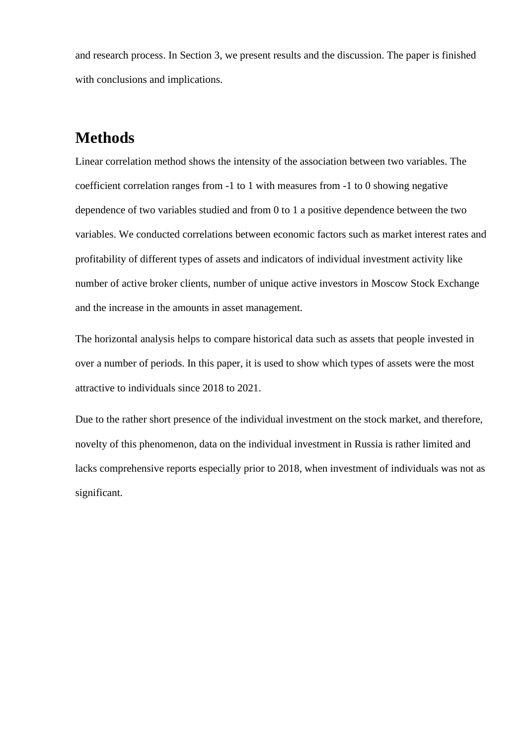and research process. In Section 3, we present results and the discussion. The paper is finished with conclusions and implications.

## **Methods**

Linear correlation method shows the intensity of the association between two variables. The coefficient correlation ranges from -1 to 1 with measures from -1 to 0 showing negative dependence of two variables studied and from 0 to 1 a positive dependence between the two variables. We conducted correlations between economic factors such as market interest rates and profitability of different types of assets and indicators of individual investment activity like number of active broker clients, number of unique active investors in Moscow Stock Exchange and the increase in the amounts in asset management.

The horizontal analysis helps to compare historical data such as assets that people invested in over a number of periods. In this paper, it is used to show which types of assets were the most attractive to individuals since 2018 to 2021.

Due to the rather short presence of the individual investment on the stock market, and therefore, novelty of this phenomenon, data on the individual investment in Russia is rather limited and lacks comprehensive reports especially prior to 2018, when investment of individuals was not as significant.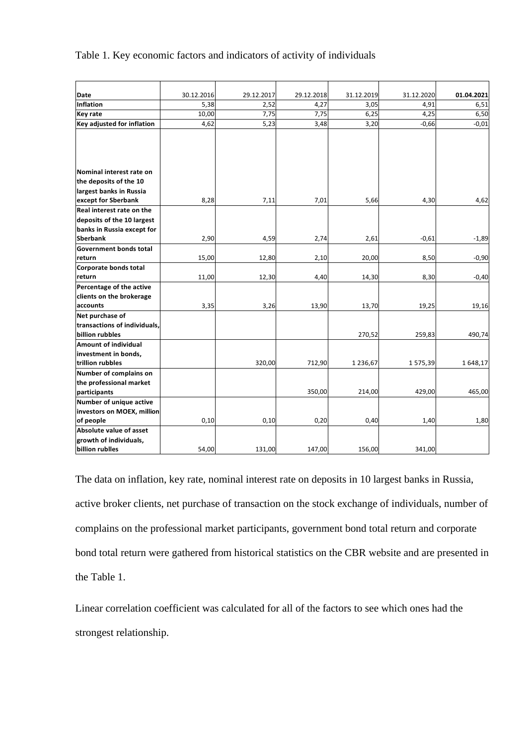#### Table 1. Key economic factors and indicators of activity of individuals

| Date<br><b>Inflation</b>                       | 30.12.2016<br>5,38 | 29.12.2017<br>2,52 | 29.12.2018 | 31.12.2019   | 31.12.2020 | 01.04.2021 |
|------------------------------------------------|--------------------|--------------------|------------|--------------|------------|------------|
|                                                |                    |                    |            |              |            |            |
|                                                |                    |                    | 4,27       | 3,05         | 4,91       | 6,51       |
| <b>Key rate</b>                                | 10,00              | 7,75               | 7,75       | 6,25         | 4,25       | 6,50       |
| Key adjusted for inflation                     | 4,62               | 5,23               | 3,48       | 3,20         | $-0,66$    | $-0.01$    |
|                                                |                    |                    |            |              |            |            |
|                                                |                    |                    |            |              |            |            |
|                                                |                    |                    |            |              |            |            |
| Nominal interest rate on                       |                    |                    |            |              |            |            |
| the deposits of the 10                         |                    |                    |            |              |            |            |
| largest banks in Russia                        |                    |                    |            |              |            |            |
| except for Sberbank                            | 8,28               | 7,11               | 7,01       | 5,66         | 4,30       | 4,62       |
| Real interest rate on the                      |                    |                    |            |              |            |            |
| deposits of the 10 largest                     |                    |                    |            |              |            |            |
| banks in Russia except for                     |                    |                    |            |              |            |            |
| <b>Sberbank</b>                                | 2,90               | 4,59               | 2,74       | 2,61         | $-0,61$    | $-1,89$    |
| Government bonds total                         |                    |                    |            |              |            |            |
| return                                         | 15,00              | 12,80              | 2,10       | 20,00        | 8,50       | $-0,90$    |
| Corporate bonds total                          |                    |                    |            |              |            |            |
| return                                         | 11,00              | 12,30              | 4,40       | 14,30        | 8,30       | $-0,40$    |
| Percentage of the active                       |                    |                    |            |              |            |            |
| clients on the brokerage                       |                    |                    |            |              |            |            |
| accounts                                       | 3,35               | 3,26               | 13,90      | 13,70        | 19,25      | 19,16      |
| Net purchase of                                |                    |                    |            |              |            |            |
| transactions of individuals,                   |                    |                    |            |              |            |            |
| billion rubbles<br><b>Amount of individual</b> |                    |                    |            | 270,52       | 259,83     | 490,74     |
|                                                |                    |                    |            |              |            |            |
| investment in bonds,<br>trillion rubbles       |                    | 320,00             | 712,90     | 1 2 3 6, 6 7 | 1575,39    | 1648,17    |
| Number of complains on                         |                    |                    |            |              |            |            |
| the professional market                        |                    |                    |            |              |            |            |
| participants                                   |                    |                    | 350,00     | 214,00       | 429,00     | 465,00     |
| Number of unique active                        |                    |                    |            |              |            |            |
| investors on MOEX, million                     |                    |                    |            |              |            |            |
| of people                                      | 0,10               | 0,10               | 0,20       | 0,40         | 1,40       | 1,80       |
| Absolute value of asset                        |                    |                    |            |              |            |            |
| growth of individuals,                         |                    |                    |            |              |            |            |
| billion rublles                                | 54,00              | 131,00             | 147,00     | 156,00       | 341,00     |            |

The data on inflation, key rate, nominal interest rate on deposits in 10 largest banks in Russia, active broker clients, net purchase of transaction on the stock exchange of individuals, number of complains on the professional market participants, government bond total return and corporate bond total return were gathered from historical statistics on the CBR website and are presented in the Table 1.

Linear correlation coefficient was calculated for all of the factors to see which ones had the strongest relationship.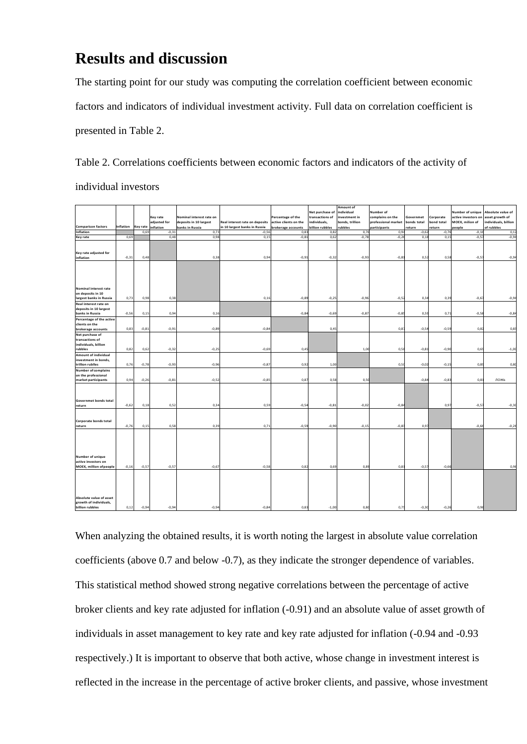## **Results and discussion**

The starting point for our study was computing the correlation coefficient between economic factors and indicators of individual investment activity. Full data on correlation coefficient is presented in Table 2.

Table 2. Correlations coefficients between economic factors and indicators of the activity of

individual investors

| <b>Comparison factors</b>                                                                      | Inflation | <b>Key rate</b> | Key rate<br>adjusted for<br>inflation | Nominal interest rate on<br>deposits in 10 largest<br>banks in Russia | Real interest rate on deposits<br>in 10 largest banks in Russia | Percentage of the<br>active clients on the<br>brokerage accounts | Net purchase of<br>transactions of<br>individuals,<br>billion rubbles | Amount of<br>individual<br>investment in<br>bonds, trillion<br>rubbles | Number of<br>complains on the<br>professional market<br>participants | Governmet<br>bonds total<br>return | Corporate<br>bond total<br>return | Number of unique<br>active investors on<br>MOEX, milion of<br>people | Absolute value of<br>asset growth of<br>individuals, billion<br>of rubbles |
|------------------------------------------------------------------------------------------------|-----------|-----------------|---------------------------------------|-----------------------------------------------------------------------|-----------------------------------------------------------------|------------------------------------------------------------------|-----------------------------------------------------------------------|------------------------------------------------------------------------|----------------------------------------------------------------------|------------------------------------|-----------------------------------|----------------------------------------------------------------------|----------------------------------------------------------------------------|
| Inflation                                                                                      |           | 0,69            | $-0,31$                               | 0,7                                                                   | $-0,5$                                                          | 0,83                                                             | 0,82                                                                  | 0,76                                                                   | 0,94                                                                 | $-0,6$                             | $-0,7$                            | $-0,1$                                                               | 0,1                                                                        |
| <b>Key rate</b>                                                                                | 0,69      |                 | 0,48                                  | 0,98                                                                  | 0,15                                                            | $-0,81$                                                          | 0,62                                                                  | $-0,78$                                                                | $-0,26$                                                              | 0,18                               | 0,15                              | $-0,5$                                                               | $-0,94$                                                                    |
| Key rate adjusted for<br>inflation                                                             | $-0,31$   | 0,48            |                                       | 0,38                                                                  | 0,94                                                            | $-0,91$                                                          | $-0,32$                                                               | $-0,93$                                                                | $-0,81$                                                              | 0,52                               | 0,58                              | $-0,5$                                                               | $-0,94$                                                                    |
| Nominal interest rate<br>on deposits in 10<br>largest banks in Russia<br>Real interest rate on | 0,73      | 0,98            | 0,38                                  |                                                                       | 0, 16                                                           | $-0,89$                                                          | $-0,25$                                                               | $-0,96$                                                                | $-0,52$                                                              | 0,34                               | 0,39                              | $-0,6$                                                               | $-0,94$                                                                    |
| deposits in 10 largest<br>banks in Russia                                                      | $-0,56$   | 0,15            | 0, 94                                 | 0,16                                                                  |                                                                 | $-0,80$                                                          | $-0,69$                                                               | $-0,87$                                                                | $-0,85$                                                              | 0,59                               | 0,71                              | $-0,5i$                                                              | $-0,80$                                                                    |
| Percentage of the active<br>clients on the<br>brokerage accounts                               | 0,83      | $-0,81$         | $-0,91$                               | $-0,89$                                                               | $-0,84$                                                         |                                                                  | 0,45                                                                  |                                                                        | 0,87                                                                 | $-0,54$                            | $-0,59$                           | 0,8                                                                  | 0,8                                                                        |
| Net purchase of<br>transactions of<br>individuals, billion<br>rubbles                          | 0,82      | 0,62            | $-0,32$                               | $-0,25$                                                               | $-0,69$                                                         | 0,45                                                             |                                                                       | 1,00                                                                   | 0,58                                                                 | $-0,81$                            | $-0,90$                           | 0,69                                                                 | $-1,00$                                                                    |
| <b>Amount of individual</b><br>investment in bonds,<br>trillion rublles                        | 0,76      | $-0,78$         | $-0,93$                               | $-0,96$                                                               | $-0,8$                                                          | 0,9                                                              | 1,00                                                                  |                                                                        | 0,50                                                                 | $-0,02$                            | $-0,1!$                           | 0,8                                                                  | 0,80                                                                       |
| <b>Number of complains</b><br>on the professional<br>market participants                       | 0,94      | $-0,26$         | $-0,81$                               | $-0,52$                                                               | $-0,85$                                                         | 0,87                                                             | 0,58                                                                  | 0,50                                                                   |                                                                      | $-0,8$                             | $-0,85$                           | 0,81                                                                 | ложь                                                                       |
| Governmet bonds total<br>return                                                                | $-0,62$   | 0,18            | 0,52                                  | 0,34                                                                  | 0,59                                                            | $-0,54$                                                          | $-0,81$                                                               | $-0,02$                                                                | $-0,84$                                                              |                                    | 0,97                              | $-0,5$                                                               | $-0,30$                                                                    |
| Corporate bonds total                                                                          | $-0,76$   | 0,15            | 0,58                                  | 0,39                                                                  | 0,71                                                            | $-0,59$                                                          | $-0,90$                                                               | $-0,15$                                                                | $-0,83$                                                              | 0,97                               |                                   | $-0,66$                                                              | $-0,26$                                                                    |
| return<br>Number of unique                                                                     |           |                 |                                       |                                                                       |                                                                 |                                                                  |                                                                       |                                                                        |                                                                      |                                    |                                   |                                                                      |                                                                            |
| active investors on<br>MOEX, million of people                                                 | $-0,16$   | $-0,57$         | $-0,57$                               | $-0,6$                                                                | $-0,58$                                                         | 0,82                                                             | 0,69                                                                  | 0,89                                                                   | 0,81                                                                 | $-0,57$                            | $-0,66$                           |                                                                      | 0,96                                                                       |
| Absolute value of asset<br>growth of individuals,<br>billion rubbles                           | 0,12      | $-0,94$         | $-0,94$                               | $-0,94$                                                               | $-0,84$                                                         | 0,83                                                             | $-1,00$                                                               | 0,80                                                                   | 0,75                                                                 | $-0,30$                            | $-0,20$                           | 0,96                                                                 |                                                                            |
|                                                                                                |           |                 |                                       |                                                                       |                                                                 |                                                                  |                                                                       |                                                                        |                                                                      |                                    |                                   |                                                                      |                                                                            |

When analyzing the obtained results, it is worth noting the largest in absolute value correlation coefficients (above 0.7 and below -0.7), as they indicate the stronger dependence of variables. This statistical method showed strong negative correlations between the percentage of active broker clients and key rate adjusted for inflation (-0.91) and an absolute value of asset growth of individuals in asset management to key rate and key rate adjusted for inflation (-0.94 and -0.93 respectively.) It is important to observe that both active, whose change in investment interest is reflected in the increase in the percentage of active broker clients, and passive, whose investment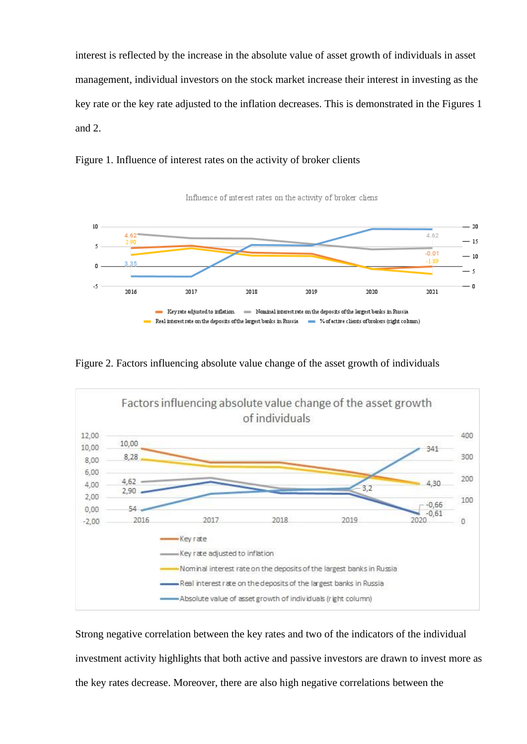interest is reflected by the increase in the absolute value of asset growth of individuals in asset management, individual investors on the stock market increase their interest in investing as the key rate or the key rate adjusted to the inflation decreases. This is demonstrated in the Figures 1 and 2.





Figure 2. Factors influencing absolute value change of the asset growth of individuals



Strong negative correlation between the key rates and two of the indicators of the individual investment activity highlights that both active and passive investors are drawn to invest more as the key rates decrease. Moreover, there are also high negative correlations between the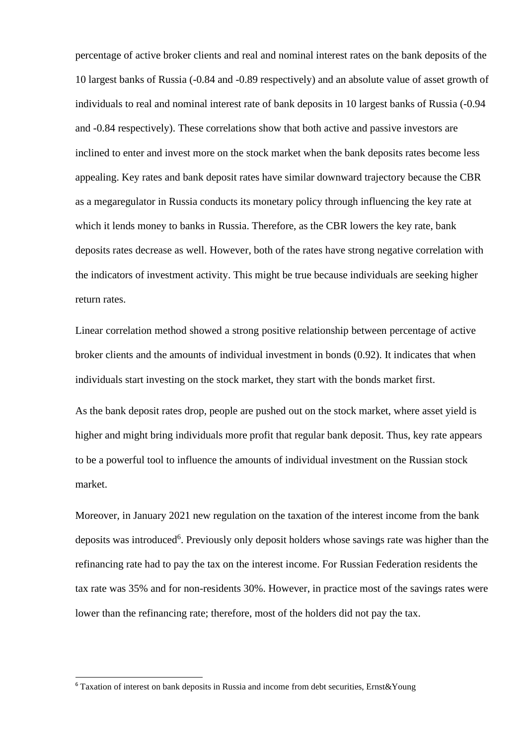percentage of active broker clients and real and nominal interest rates on the bank deposits of the 10 largest banks of Russia (-0.84 and -0.89 respectively) and an absolute value of asset growth of individuals to real and nominal interest rate of bank deposits in 10 largest banks of Russia (-0.94 and -0.84 respectively). These correlations show that both active and passive investors are inclined to enter and invest more on the stock market when the bank deposits rates become less appealing. Key rates and bank deposit rates have similar downward trajectory because the CBR as a megaregulator in Russia conducts its monetary policy through influencing the key rate at which it lends money to banks in Russia. Therefore, as the CBR lowers the key rate, bank deposits rates decrease as well. However, both of the rates have strong negative correlation with the indicators of investment activity. This might be true because individuals are seeking higher return rates.

Linear correlation method showed a strong positive relationship between percentage of active broker clients and the amounts of individual investment in bonds (0.92). It indicates that when individuals start investing on the stock market, they start with the bonds market first.

As the bank deposit rates drop, people are pushed out on the stock market, where asset yield is higher and might bring individuals more profit that regular bank deposit. Thus, key rate appears to be a powerful tool to influence the amounts of individual investment on the Russian stock market.

Moreover, in January 2021 new regulation on the taxation of the interest income from the bank deposits was introduced<sup>6</sup>. Previously only deposit holders whose savings rate was higher than the refinancing rate had to pay the tax on the interest income. For Russian Federation residents the tax rate was 35% and for non-residents 30%. However, in practice most of the savings rates were lower than the refinancing rate; therefore, most of the holders did not pay the tax.

<sup>6</sup> Taxation of interest on bank deposits in Russia and income from debt securities, Ernst&Young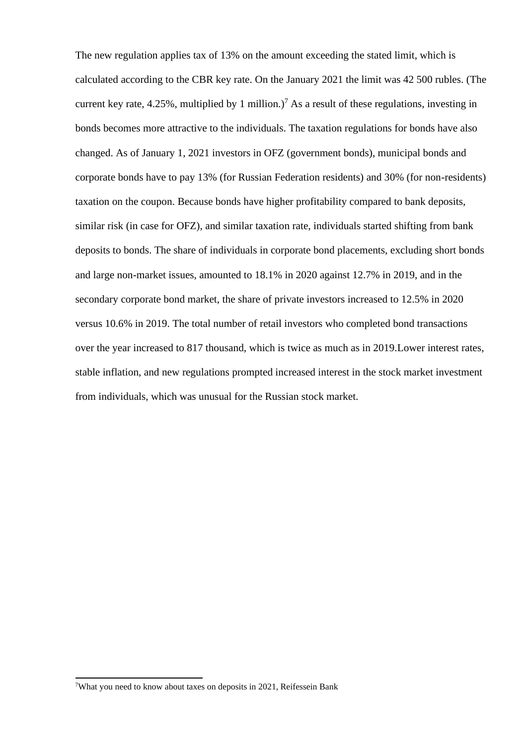The new regulation applies tax of 13% on the amount exceeding the stated limit, which is calculated according to the CBR key rate. On the January 2021 the limit was 42 500 rubles. (The current key rate, 4.25%, multiplied by 1 million.)<sup>7</sup> As a result of these regulations, investing in bonds becomes more attractive to the individuals. The taxation regulations for bonds have also changed. As of January 1, 2021 investors in OFZ (government bonds), municipal bonds and corporate bonds have to pay 13% (for Russian Federation residents) and 30% (for non-residents) taxation on the coupon. Because bonds have higher profitability compared to bank deposits, similar risk (in case for OFZ), and similar taxation rate, individuals started shifting from bank deposits to bonds. The share of individuals in corporate bond placements, excluding short bonds and large non-market issues, amounted to 18.1% in 2020 against 12.7% in 2019, and in the secondary corporate bond market, the share of private investors increased to 12.5% in 2020 versus 10.6% in 2019. The total number of retail investors who completed bond transactions over the year increased to 817 thousand, which is twice as much as in 2019.Lower interest rates, stable inflation, and new regulations prompted increased interest in the stock market investment from individuals, which was unusual for the Russian stock market.

<sup>7</sup>What you need to know about taxes on deposits in 2021, Reifessein Bank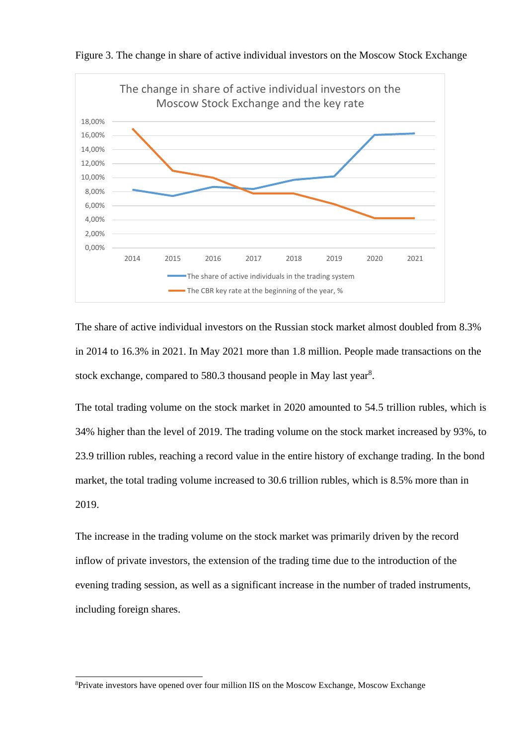

Figure 3. The change in share of active individual investors on the Moscow Stock Exchange

The share of active individual investors on the Russian stock market almost doubled from 8.3% in 2014 to 16.3% in 2021. In May 2021 more than 1.8 million. People made transactions on the stock exchange, compared to 580.3 thousand people in May last year<sup>8</sup>.

The total trading volume on the stock market in 2020 amounted to 54.5 trillion rubles, which is 34% higher than the level of 2019. The trading volume on the stock market increased by 93%, to 23.9 trillion rubles, reaching a record value in the entire history of exchange trading. In the bond market, the total trading volume increased to 30.6 trillion rubles, which is 8.5% more than in 2019.

The increase in the trading volume on the stock market was primarily driven by the record inflow of private investors, the extension of the trading time due to the introduction of the evening trading session, as well as a significant increase in the number of traded instruments, including foreign shares.

<sup>8</sup>Private investors have opened over four million IIS on the Moscow Exchange, Moscow Exchange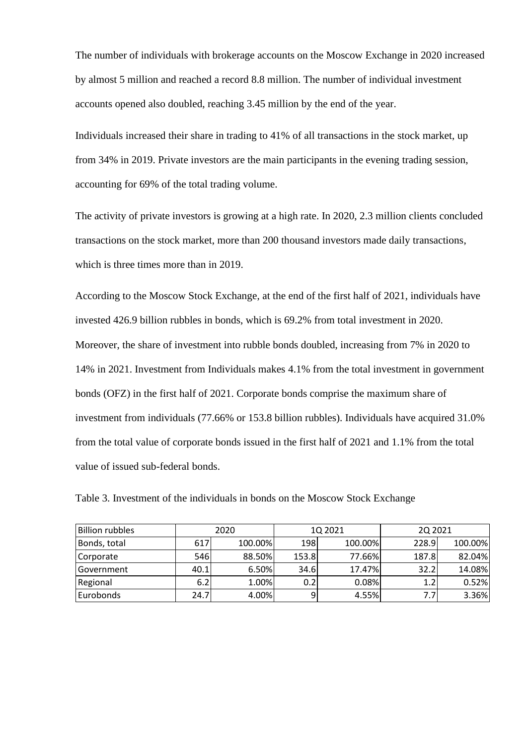The number of individuals with brokerage accounts on the Moscow Exchange in 2020 increased by almost 5 million and reached a record 8.8 million. The number of individual investment accounts opened also doubled, reaching 3.45 million by the end of the year.

Individuals increased their share in trading to 41% of all transactions in the stock market, up from 34% in 2019. Private investors are the main participants in the evening trading session, accounting for 69% of the total trading volume.

The activity of private investors is growing at a high rate. In 2020, 2.3 million clients concluded transactions on the stock market, more than 200 thousand investors made daily transactions, which is three times more than in 2019.

According to the Moscow Stock Exchange, at the end of the first half of 2021, individuals have invested 426.9 billion rubbles in bonds, which is 69.2% from total investment in 2020. Moreover, the share of investment into rubble bonds doubled, increasing from 7% in 2020 to 14% in 2021. Investment from Individuals makes 4.1% from the total investment in government bonds (OFZ) in the first half of 2021. Corporate bonds comprise the maximum share of investment from individuals (77.66% or 153.8 billion rubbles). Individuals have acquired 31.0% from the total value of corporate bonds issued in the first half of 2021 and 1.1% from the total value of issued sub-federal bonds.

| <b>Billion rubbles</b> | 2020 |         |       | 1Q 2021 | 20 20 21 |         |  |
|------------------------|------|---------|-------|---------|----------|---------|--|
| Bonds, total           | 617  | 100.00% | 198   | 100.00% | 228.9    | 100.00% |  |
| Corporate              | 546  | 88.50%  | 153.8 | 77.66%  | 187.8    | 82.04%  |  |
| Government             | 40.1 | 6.50%   | 34.6  | 17.47%  | 32.2     | 14.08%  |  |
| Regional               | 6.2  | 1.00%   | 0.2   | 0.08%   | 1.2      | 0.52%   |  |
| Eurobonds              | 24.7 | 4.00%   |       | 4.55%   | 7.7      | 3.36%   |  |

Table 3. Investment of the individuals in bonds on the Moscow Stock Exchange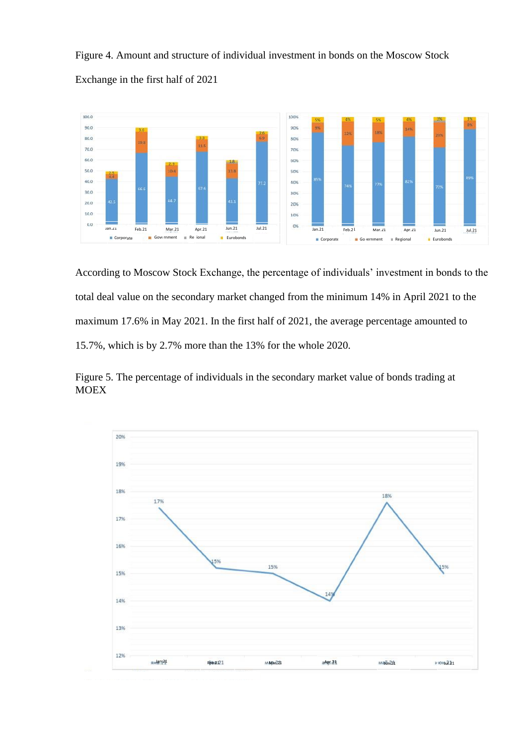Figure 4. Amount and structure of individual investment in bonds on the Moscow Stock Exchange in the first half of 2021



According to Moscow Stock Exchange, the percentage of individuals' investment in bonds to the total deal value on the secondary market changed from the minimum 14% in April 2021 to the maximum 17.6% in May 2021. In the first half of 2021, the average percentage amounted to 15.7%, which is by 2.7% more than the 13% for the whole 2020.

Figure 5. The percentage of individuals in the secondary market value of bonds trading at MOEX

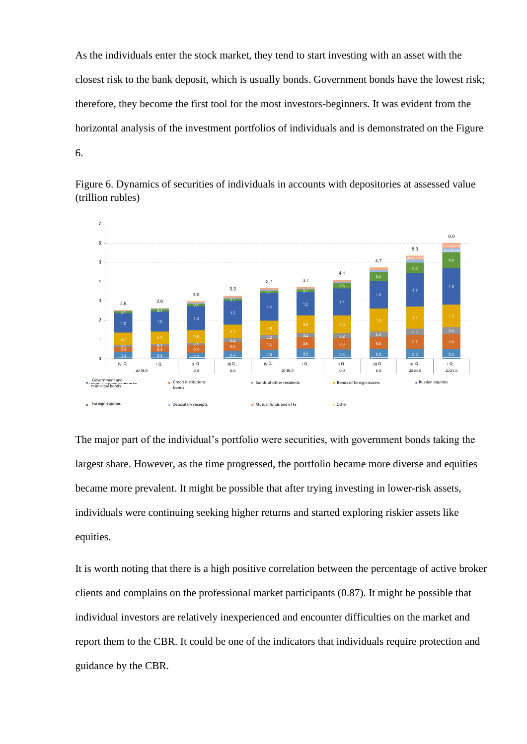As the individuals enter the stock market, they tend to start investing with an asset with the closest risk to the bank deposit, which is usually bonds. Government bonds have the lowest risk; therefore, they become the first tool for the most investors-beginners. It was evident from the horizontal analysis of the investment portfolios of individuals and is demonstrated on the Figure 6.



Figure 6. Dynamics of securities of individuals in accounts with depositories at assessed value (trillion rubles)

The major part of the individual's portfolio were securities, with government bonds taking the largest share. However, as the time progressed, the portfolio became more diverse and equities became more prevalent. It might be possible that after trying investing in lower-risk assets, individuals were continuing seeking higher returns and started exploring riskier assets like equities.

It is worth noting that there is a high positive correlation between the percentage of active broker clients and complains on the professional market participants (0.87). It might be possible that individual investors are relatively inexperienced and encounter difficulties on the market and report them to the CBR. It could be one of the indicators that individuals require protection and guidance by the CBR.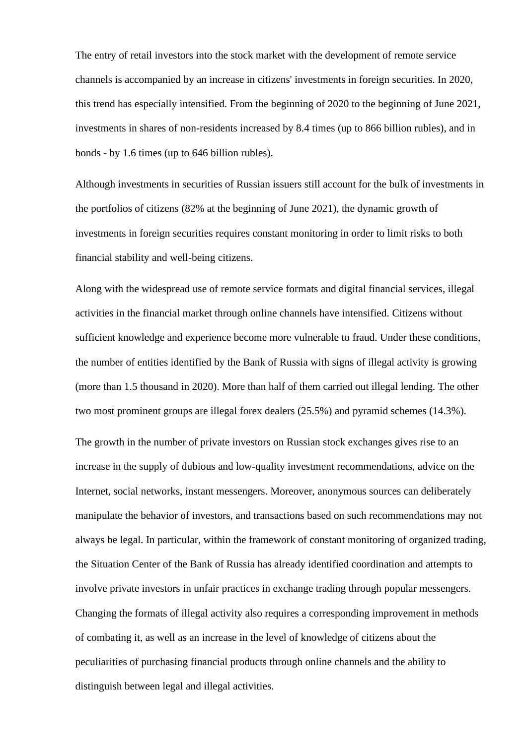The entry of retail investors into the stock market with the development of remote service channels is accompanied by an increase in citizens' investments in foreign securities. In 2020, this trend has especially intensified. From the beginning of 2020 to the beginning of June 2021, investments in shares of non-residents increased by 8.4 times (up to 866 billion rubles), and in bonds - by 1.6 times (up to 646 billion rubles).

Although investments in securities of Russian issuers still account for the bulk of investments in the portfolios of citizens (82% at the beginning of June 2021), the dynamic growth of investments in foreign securities requires constant monitoring in order to limit risks to both financial stability and well-being citizens.

Along with the widespread use of remote service formats and digital financial services, illegal activities in the financial market through online channels have intensified. Citizens without sufficient knowledge and experience become more vulnerable to fraud. Under these conditions, the number of entities identified by the Bank of Russia with signs of illegal activity is growing (more than 1.5 thousand in 2020). More than half of them carried out illegal lending. The other two most prominent groups are illegal forex dealers (25.5%) and pyramid schemes (14.3%).

The growth in the number of private investors on Russian stock exchanges gives rise to an increase in the supply of dubious and low-quality investment recommendations, advice on the Internet, social networks, instant messengers. Moreover, anonymous sources can deliberately manipulate the behavior of investors, and transactions based on such recommendations may not always be legal. In particular, within the framework of constant monitoring of organized trading, the Situation Center of the Bank of Russia has already identified coordination and attempts to involve private investors in unfair practices in exchange trading through popular messengers. Changing the formats of illegal activity also requires a corresponding improvement in methods of combating it, as well as an increase in the level of knowledge of citizens about the peculiarities of purchasing financial products through online channels and the ability to distinguish between legal and illegal activities.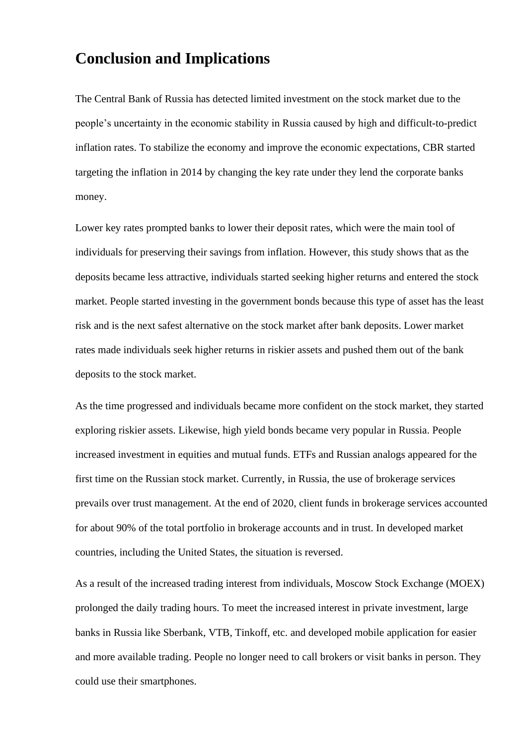## **Conclusion and Implications**

The Central Bank of Russia has detected limited investment on the stock market due to the people's uncertainty in the economic stability in Russia caused by high and difficult-to-predict inflation rates. To stabilize the economy and improve the economic expectations, CBR started targeting the inflation in 2014 by changing the key rate under they lend the corporate banks money.

Lower key rates prompted banks to lower their deposit rates, which were the main tool of individuals for preserving their savings from inflation. However, this study shows that as the deposits became less attractive, individuals started seeking higher returns and entered the stock market. People started investing in the government bonds because this type of asset has the least risk and is the next safest alternative on the stock market after bank deposits. Lower market rates made individuals seek higher returns in riskier assets and pushed them out of the bank deposits to the stock market.

As the time progressed and individuals became more confident on the stock market, they started exploring riskier assets. Likewise, high yield bonds became very popular in Russia. People increased investment in equities and mutual funds. ETFs and Russian analogs appeared for the first time on the Russian stock market. Currently, in Russia, the use of brokerage services prevails over trust management. At the end of 2020, client funds in brokerage services accounted for about 90% of the total portfolio in brokerage accounts and in trust. In developed market countries, including the United States, the situation is reversed.

As a result of the increased trading interest from individuals, Moscow Stock Exchange (MOEX) prolonged the daily trading hours. To meet the increased interest in private investment, large banks in Russia like Sberbank, VTB, Tinkoff, etc. and developed mobile application for easier and more available trading. People no longer need to call brokers or visit banks in person. They could use their smartphones.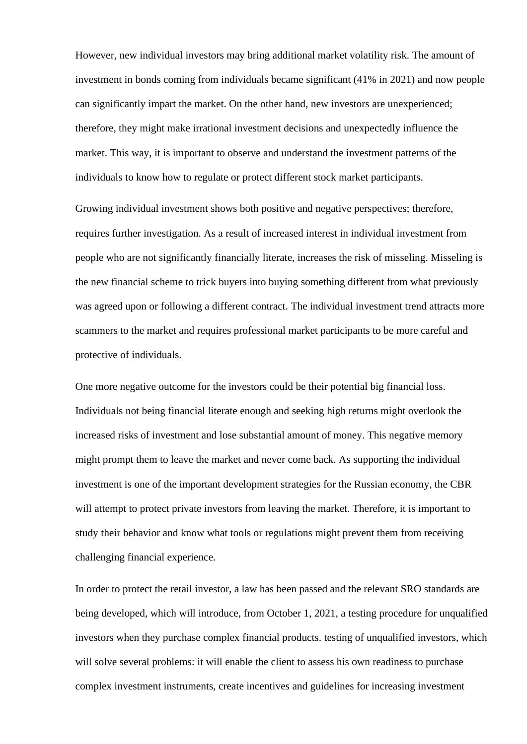However, new individual investors may bring additional market volatility risk. The amount of investment in bonds coming from individuals became significant (41% in 2021) and now people can significantly impart the market. On the other hand, new investors are unexperienced; therefore, they might make irrational investment decisions and unexpectedly influence the market. This way, it is important to observe and understand the investment patterns of the individuals to know how to regulate or protect different stock market participants.

Growing individual investment shows both positive and negative perspectives; therefore, requires further investigation. As a result of increased interest in individual investment from people who are not significantly financially literate, increases the risk of misseling. Misseling is the new financial scheme to trick buyers into buying something different from what previously was agreed upon or following a different contract. The individual investment trend attracts more scammers to the market and requires professional market participants to be more careful and protective of individuals.

One more negative outcome for the investors could be their potential big financial loss. Individuals not being financial literate enough and seeking high returns might overlook the increased risks of investment and lose substantial amount of money. This negative memory might prompt them to leave the market and never come back. As supporting the individual investment is one of the important development strategies for the Russian economy, the CBR will attempt to protect private investors from leaving the market. Therefore, it is important to study their behavior and know what tools or regulations might prevent them from receiving challenging financial experience.

In order to protect the retail investor, a law has been passed and the relevant SRO standards are being developed, which will introduce, from October 1, 2021, a testing procedure for unqualified investors when they purchase complex financial products. testing of unqualified investors, which will solve several problems: it will enable the client to assess his own readiness to purchase complex investment instruments, create incentives and guidelines for increasing investment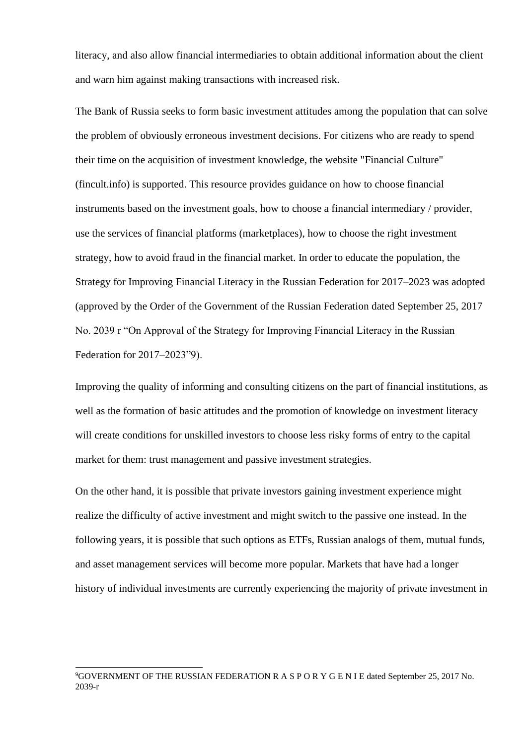literacy, and also allow financial intermediaries to obtain additional information about the client and warn him against making transactions with increased risk.

The Bank of Russia seeks to form basic investment attitudes among the population that can solve the problem of obviously erroneous investment decisions. For citizens who are ready to spend their time on the acquisition of investment knowledge, the website "Financial Culture" (fincult.info) is supported. This resource provides guidance on how to choose financial instruments based on the investment goals, how to choose a financial intermediary / provider, use the services of financial platforms (marketplaces), how to choose the right investment strategy, how to avoid fraud in the financial market. In order to educate the population, the Strategy for Improving Financial Literacy in the Russian Federation for 2017–2023 was adopted (approved by the Order of the Government of the Russian Federation dated September 25, 2017 No. 2039 r "On Approval of the Strategy for Improving Financial Literacy in the Russian Federation for 2017–2023"9).

Improving the quality of informing and consulting citizens on the part of financial institutions, as well as the formation of basic attitudes and the promotion of knowledge on investment literacy will create conditions for unskilled investors to choose less risky forms of entry to the capital market for them: trust management and passive investment strategies.

On the other hand, it is possible that private investors gaining investment experience might realize the difficulty of active investment and might switch to the passive one instead. In the following years, it is possible that such options as ETFs, Russian analogs of them, mutual funds, and asset management services will become more popular. Markets that have had a longer history of individual investments are currently experiencing the majority of private investment in

<sup>9</sup>GOVERNMENT OF THE RUSSIAN FEDERATION R A S P O R Y G E N I E dated September 25, 2017 No. 2039-r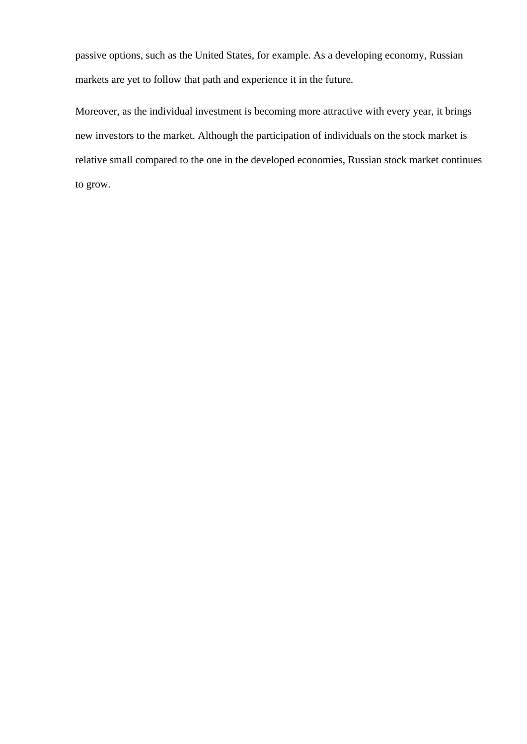passive options, such as the United States, for example. As a developing economy, Russian markets are yet to follow that path and experience it in the future.

Moreover, as the individual investment is becoming more attractive with every year, it brings new investors to the market. Although the participation of individuals on the stock market is relative small compared to the one in the developed economies, Russian stock market continues to grow.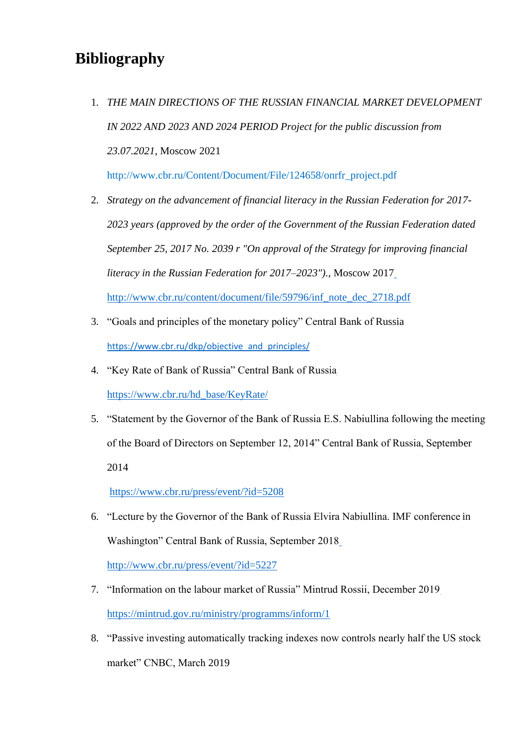# **Bibliography**

1. *THE MAIN DIRECTIONS OF THE RUSSIAN FINANCIAL MARKET DEVELOPMENT IN 2022 AND 2023 AND 2024 PERIOD Project for the public discussion from 23.07.2021*, Moscow 2021

[http://www.cbr.ru/Content/Document/File/124658/onrfr\\_project.pdf](http://www.cbr.ru/Content/Document/File/124658/onrfr_project.pdf)

2. *Strategy on the advancement of financial literacy in the Russian Federation for 2017- 2023 years (approved by the order of the Government of the Russian Federation dated September 25, 2017 No. 2039 r "On approval of the Strategy for improving financial literacy in the Russian Federation for 2017–2023").*, Moscow 2017

[http://www.cbr.ru/content/document/file/59796/inf\\_note\\_dec\\_2718.pdf](http://www.cbr.ru/content/document/file/59796/inf_note_dec_2718.pdf)

- 3. "Goals and principles of the monetary policy" Central Bank of Russia [https://www.cbr.ru/dkp/objective\\_and\\_principles/](https://www.cbr.ru/dkp/objective_and_principles/)
- 4. "Key Rate of Bank of Russia" Central Bank of Russia [https://www.cbr.ru/hd\\_base/KeyRate/](https://www.cbr.ru/hd_base/KeyRate/)
- 5. "Statement by the Governor of the Bank of Russia E.S. Nabiullina following the meeting of the Board of Directors on September 12, 2014" Central Bank of Russia, September 2014

<https://www.cbr.ru/press/event/?id=5208>

6. "Lecture by the Governor of the Bank of Russia Elvira Nabiullina. IMF conference in Washington" Central Bank of Russia, September 2018

<http://www.cbr.ru/press/event/?id=5227>

- 7. "Information on the labour market of Russia" Mintrud Rossii, December 2019 <https://mintrud.gov.ru/ministry/programms/inform/1>
- 8. "Passive investing automatically tracking indexes now controls nearly half the US stock market" CNBC, March 2019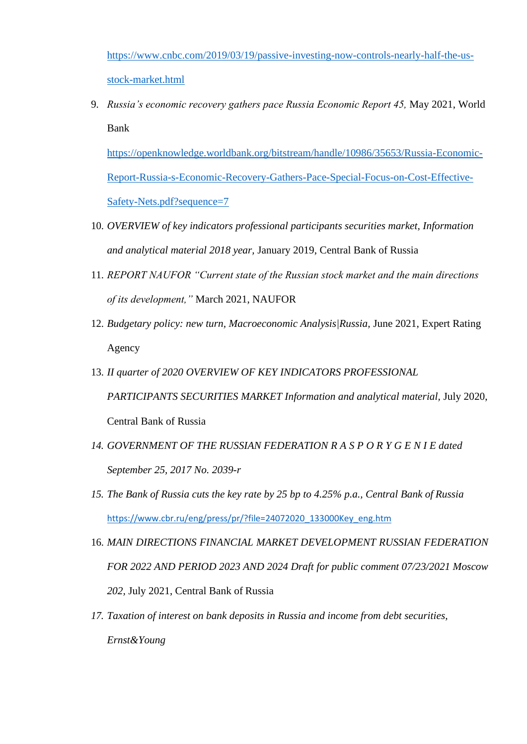[https://www.cnbc.com/2019/03/19/passive-investing-now-controls-nearly-half-the-us](https://www.cnbc.com/2019/03/19/passive-investing-now-controls-nearly-half-the-us-stock-market.html)[stock-market.html](https://www.cnbc.com/2019/03/19/passive-investing-now-controls-nearly-half-the-us-stock-market.html)

9. *Russia's economic recovery gathers pace Russia Economic Report 45,* May 2021, World Bank

[https://openknowledge.worldbank.org/bitstream/handle/10986/35653/Russia-Economic-](https://openknowledge.worldbank.org/bitstream/handle/10986/35653/Russia-Economic-Report-Russia-s-Economic-Recovery-Gathers-Pace-Special-Focus-on-Cost-Effective-Safety-Nets.pdf?sequence=7)[Report-Russia-s-Economic-Recovery-Gathers-Pace-Special-Focus-on-Cost-Effective-](https://openknowledge.worldbank.org/bitstream/handle/10986/35653/Russia-Economic-Report-Russia-s-Economic-Recovery-Gathers-Pace-Special-Focus-on-Cost-Effective-Safety-Nets.pdf?sequence=7)[Safety-Nets.pdf?sequence=7](https://openknowledge.worldbank.org/bitstream/handle/10986/35653/Russia-Economic-Report-Russia-s-Economic-Recovery-Gathers-Pace-Special-Focus-on-Cost-Effective-Safety-Nets.pdf?sequence=7)

- 10. *OVERVIEW of key indicators professional participants securities market, Information and analytical material 2018 year,* January 2019, Central Bank of Russia
- 11. *REPORT NAUFOR "Current state of the Russian stock market and the main directions of its development,"* March 2021, NAUFOR
- 12. *Budgetary policy: new turn, Macroeconomic Analysis|Russia,* June 2021, Expert Rating Agency
- 13. *II quarter of 2020 OVERVIEW OF KEY INDICATORS PROFESSIONAL*  PARTICIPANTS SECURITIES MARKET Information and analytical material, July 2020, Central Bank of Russia
- *14. GOVERNMENT OF THE RUSSIAN FEDERATION R A S P O R Y G E N I E dated September 25, 2017 No. 2039-r*
- *15. The Bank of Russia cuts the key rate by 25 bp to 4.25% p.a., Central Bank of Russia* [https://www.cbr.ru/eng/press/pr/?file=24072020\\_133000Key\\_eng.htm](https://www.cbr.ru/eng/press/pr/?file=24072020_133000Key_eng.htm)
- 16. *MAIN DIRECTIONS FINANCIAL MARKET DEVELOPMENT RUSSIAN FEDERATION FOR 2022 AND PERIOD 2023 AND 2024 Draft for public comment 07/23/2021 Moscow 202,* July 2021, Central Bank of Russia
- *17. Taxation of interest on bank deposits in Russia and income from debt securities, Ernst&Young*